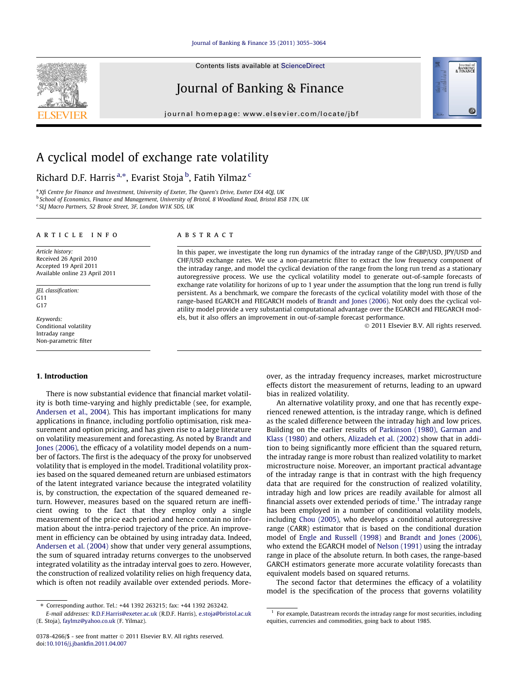#### [Journal of Banking & Finance 35 \(2011\) 3055–3064](http://dx.doi.org/10.1016/j.jbankfin.2011.04.007)

Contents lists available at [ScienceDirect](http://www.sciencedirect.com/science/journal/03784266)

## Journal of Banking & Finance

journal homepage: [www.elsevier.com/locate/jbf](http://www.elsevier.com/locate/jbf)



### Richard D.F. Harris <sup>a,</sup>\*, Evarist Stoja <sup>b</sup>, Fatih Yilmaz <sup>c</sup>

<sup>a</sup> Xfi Centre for Finance and Investment, University of Exeter, The Queen's Drive, Exeter EX4 4QJ, UK <sup>b</sup> School of Economics, Finance and Management, University of Bristol, 8 Woodland Road, Bristol BS8 1TN, UK <sup>c</sup> SLJ Macro Partners, 52 Brook Street, 3F, London W1K 5DS, UK

#### article info

Article history: Received 26 April 2010 Accepted 19 April 2011 Available online 23 April 2011

JEL classification: G11 G17

Keywords: Conditional volatility Intraday range Non-parametric filter

#### ABSTRACT

In this paper, we investigate the long run dynamics of the intraday range of the GBP/USD, JPY/USD and CHF/USD exchange rates. We use a non-parametric filter to extract the low frequency component of the intraday range, and model the cyclical deviation of the range from the long run trend as a stationary autoregressive process. We use the cyclical volatility model to generate out-of-sample forecasts of exchange rate volatility for horizons of up to 1 year under the assumption that the long run trend is fully persistent. As a benchmark, we compare the forecasts of the cyclical volatility model with those of the range-based EGARCH and FIEGARCH models of [Brandt and Jones \(2006\).](#page--1-0) Not only does the cyclical volatility model provide a very substantial computational advantage over the EGARCH and FIEGARCH models, but it also offers an improvement in out-of-sample forecast performance.

- 2011 Elsevier B.V. All rights reserved.

Journal of<br>BANKING<br>& FINANCE

#### 1. Introduction

There is now substantial evidence that financial market volatility is both time-varying and highly predictable (see, for example, [Andersen et al., 2004](#page--1-0)). This has important implications for many applications in finance, including portfolio optimisation, risk measurement and option pricing, and has given rise to a large literature on volatility measurement and forecasting. As noted by [Brandt and](#page--1-0) [Jones \(2006\),](#page--1-0) the efficacy of a volatility model depends on a number of factors. The first is the adequacy of the proxy for unobserved volatility that is employed in the model. Traditional volatility proxies based on the squared demeaned return are unbiased estimators of the latent integrated variance because the integrated volatility is, by construction, the expectation of the squared demeaned return. However, measures based on the squared return are inefficient owing to the fact that they employ only a single measurement of the price each period and hence contain no information about the intra-period trajectory of the price. An improvement in efficiency can be obtained by using intraday data. Indeed, [Andersen et al. \(2004\)](#page--1-0) show that under very general assumptions, the sum of squared intraday returns converges to the unobserved integrated volatility as the intraday interval goes to zero. However, the construction of realized volatility relies on high frequency data, which is often not readily available over extended periods. Moreover, as the intraday frequency increases, market microstructure effects distort the measurement of returns, leading to an upward bias in realized volatility.

An alternative volatility proxy, and one that has recently experienced renewed attention, is the intraday range, which is defined as the scaled difference between the intraday high and low prices. Building on the earlier results of [Parkinson \(1980\), Garman and](#page--1-0) [Klass \(1980\)](#page--1-0) and others, [Alizadeh et al. \(2002\)](#page--1-0) show that in addition to being significantly more efficient than the squared return, the intraday range is more robust than realized volatility to market microstructure noise. Moreover, an important practical advantage of the intraday range is that in contrast with the high frequency data that are required for the construction of realized volatility, intraday high and low prices are readily available for almost all financial assets over extended periods of time.<sup>1</sup> The intraday range has been employed in a number of conditional volatility models, including [Chou \(2005\)](#page--1-0), who develops a conditional autoregressive range (CARR) estimator that is based on the conditional duration model of [Engle and Russell \(1998\)](#page--1-0) and [Brandt and Jones \(2006\),](#page--1-0) who extend the EGARCH model of [Nelson \(1991\)](#page--1-0) using the intraday range in place of the absolute return. In both cases, the range-based GARCH estimators generate more accurate volatility forecasts than equivalent models based on squared returns.

The second factor that determines the efficacy of a volatility model is the specification of the process that governs volatility



<sup>⇑</sup> Corresponding author. Tel.: +44 1392 263215; fax: +44 1392 263242.

E-mail addresses: [R.D.F.Harris@exeter.ac.uk](mailto:R.D.F.Harris@exeter.ac.uk) (R.D.F. Harris), [e.stoja@bristol.ac.uk](mailto:e.stoja@bristol.ac.uk) (E. Stoja), [faylmz@yahoo.co.uk](mailto:faylmz@yahoo.co.uk) (F. Yilmaz).

<sup>0378-4266/\$ -</sup> see front matter © 2011 Elsevier B.V. All rights reserved. doi[:10.1016/j.jbankfin.2011.04.007](http://dx.doi.org/10.1016/j.jbankfin.2011.04.007)

 $1$  For example, Datastream records the intraday range for most securities, including equities, currencies and commodities, going back to about 1985.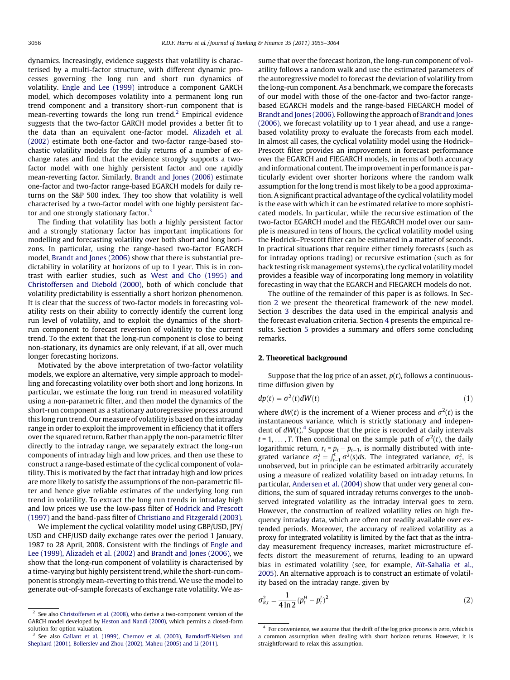dynamics. Increasingly, evidence suggests that volatility is characterised by a multi-factor structure, with different dynamic processes governing the long run and short run dynamics of volatility. [Engle and Lee \(1999\)](#page--1-0) introduce a component GARCH model, which decomposes volatility into a permanent long run trend component and a transitory short-run component that is mean-reverting towards the long run trend.2 Empirical evidence suggests that the two-factor GARCH model provides a better fit to the data than an equivalent one-factor model. [Alizadeh et al.](#page--1-0) [\(2002\)](#page--1-0) estimate both one-factor and two-factor range-based stochastic volatility models for the daily returns of a number of exchange rates and find that the evidence strongly supports a twofactor model with one highly persistent factor and one rapidly mean-reverting factor. Similarly, [Brandt and Jones \(2006\)](#page--1-0) estimate one-factor and two-factor range-based EGARCH models for daily returns on the S&P 500 index. They too show that volatility is well characterised by a two-factor model with one highly persistent factor and one strongly stationary factor.<sup>3</sup>

The finding that volatility has both a highly persistent factor and a strongly stationary factor has important implications for modelling and forecasting volatility over both short and long horizons. In particular, using the range-based two-factor EGARCH model, [Brandt and Jones \(2006\)](#page--1-0) show that there is substantial predictability in volatility at horizons of up to 1 year. This is in contrast with earlier studies, such as [West and Cho \(1995\) and](#page--1-0) [Christoffersen and Diebold \(2000\)](#page--1-0), both of which conclude that volatility predictability is essentially a short horizon phenomenon. It is clear that the success of two-factor models in forecasting volatility rests on their ability to correctly identify the current long run level of volatility, and to exploit the dynamics of the shortrun component to forecast reversion of volatility to the current trend. To the extent that the long-run component is close to being non-stationary, its dynamics are only relevant, if at all, over much longer forecasting horizons.

Motivated by the above interpretation of two-factor volatility models, we explore an alternative, very simple approach to modelling and forecasting volatility over both short and long horizons. In particular, we estimate the long run trend in measured volatility using a non-parametric filter, and then model the dynamics of the short-run component as a stationary autoregressive process around this long run trend. Our measure of volatility is based on the intraday range in order to exploit the improvement in efficiency that it offers over the squared return. Rather than apply the non-parametric filter directly to the intraday range, we separately extract the long-run components of intraday high and low prices, and then use these to construct a range-based estimate of the cyclical component of volatility. This is motivated by the fact that intraday high and low prices are more likely to satisfy the assumptions of the non-parametric filter and hence give reliable estimates of the underlying long run trend in volatility. To extract the long run trends in intraday high and low prices we use the low-pass filter of [Hodrick and Prescott](#page--1-0) [\(1997\)](#page--1-0) and the band-pass filter of [Christiano and Fitzgerald \(2003\).](#page--1-0)

We implement the cyclical volatility model using GBP/USD, JPY/ USD and CHF/USD daily exchange rates over the period 1 January, 1987 to 28 April, 2008. Consistent with the findings of [Engle and](#page--1-0) [Lee \(1999\), Alizadeh et al. \(2002\)](#page--1-0) and [Brandt and Jones \(2006\)](#page--1-0), we show that the long-run component of volatility is characterised by a time-varying but highly persistent trend, while the short-run component is strongly mean-reverting to this trend.We use the model to generate out-of-sample forecasts of exchange rate volatility. We assume that over the forecast horizon, the long-run component of volatility follows a random walk and use the estimated parameters of the autoregressive model to forecast the deviation of volatility from the long-run component. As a benchmark, we compare the forecasts of our model with those of the one-factor and two-factor rangebased EGARCH models and the range-based FIEGARCH model of [Brandt and Jones \(2006\)](#page--1-0). Following the approach of [Brandt and Jones](#page--1-0) [\(2006\),](#page--1-0) we forecast volatility up to 1 year ahead, and use a rangebased volatility proxy to evaluate the forecasts from each model. In almost all cases, the cyclical volatility model using the Hodrick– Prescott filter provides an improvement in forecast performance over the EGARCH and FIEGARCH models, in terms of both accuracy and informational content. The improvement in performance is particularly evident over shorter horizons where the random walk assumption for the long trend is most likely to be a good approximation. A significant practical advantage of the cyclical volatility model is the ease with which it can be estimated relative to more sophisticated models. In particular, while the recursive estimation of the two-factor EGARCH model and the FIEGARCH model over our sample is measured in tens of hours, the cyclical volatility model using the Hodrick–Prescott filter can be estimated in a matter of seconds. In practical situations that require either timely forecasts (such as for intraday options trading) or recursive estimation (such as for back testing risk management systems), the cyclical volatility model provides a feasible way of incorporating long memory in volatility forecasting in way that the EGARCH and FIEGARCH models do not.

The outline of the remainder of this paper is as follows. In Section 2 we present the theoretical framework of the new model. Section [3](#page--1-0) describes the data used in the empirical analysis and the forecast evaluation criteria. Section [4](#page--1-0) presents the empirical results. Section [5](#page--1-0) provides a summary and offers some concluding remarks.

#### 2. Theoretical background

Suppose that the log price of an asset,  $p(t)$ , follows a continuoustime diffusion given by

$$
dp(t) = \sigma^2(t)dW(t)
$$
 (1)

where  $dW(t)$  is the increment of a Wiener process and  $\sigma^2(t)$  is the instantaneous variance, which is strictly stationary and independent of  $dW(t)$ .<sup>4</sup> Suppose that the price is recorded at daily intervals  $t = 1, \ldots, T$ . Then conditional on the sample path of  $\sigma^2(t)$ , the daily logarithmic return,  $r_t$  =  $p_t$  –  $p_{t-1}$ , is normally distributed with integrated variance  $\sigma_t^2 = \int_{t-1}^t \sigma^2(s) ds$ . The integrated variance,  $\sigma_t^2$ , is unobserved, but in principle can be estimated arbitrarily accurately using a measure of realized volatility based on intraday returns. In particular, [Andersen et al. \(2004\)](#page--1-0) show that under very general conditions, the sum of squared intraday returns converges to the unobserved integrated volatility as the intraday interval goes to zero. However, the construction of realized volatility relies on high frequency intraday data, which are often not readily available over extended periods. Moreover, the accuracy of realized volatility as a proxy for integrated volatility is limited by the fact that as the intraday measurement frequency increases, market microstructure effects distort the measurement of returns, leading to an upward bias in estimated volatility (see, for example, [Aït-Sahalia et al.,](#page--1-0) [2005](#page--1-0)). An alternative approach is to construct an estimate of volatility based on the intraday range, given by

$$
\sigma_{R,t}^2 = \frac{1}{4 \ln 2} (p_t^H - p_t^L)^2
$$
 (2)

 $2$  See also [Christoffersen et al. \(2008\)](#page--1-0), who derive a two-component version of the GARCH model developed by [Heston and Nandi \(2000\)](#page--1-0), which permits a closed-form solution for option valuation.

<sup>&</sup>lt;sup>3</sup> See also [Gallant et al. \(1999\), Chernov et al. \(2003\), Barndorff-Nielsen and](#page--1-0) [Shephard \(2001\), Bollerslev and Zhou \(2002\), Maheu \(2005\) and Li \(2011\).](#page--1-0)

 $^4\,$  For convenience, we assume that the drift of the log price process is zero, which is a common assumption when dealing with short horizon returns. However, it is straightforward to relax this assumption.